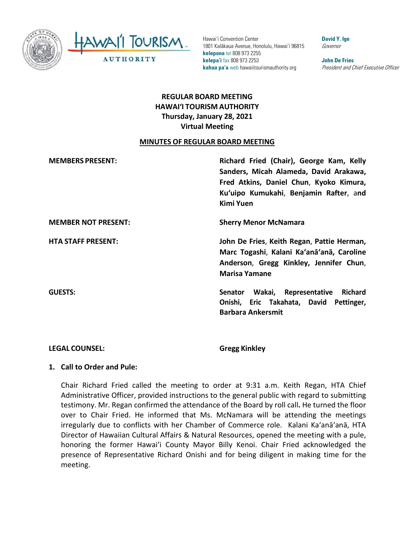

AWAI'I TOURISM **AUTHORITY** 

Hawai'i Convention Center 1801 Kalākaua Avenue, Honolulu, Hawai'i 96815 **kelepona** tel 808 973 2255 **kelepa'i** fax 808 973 2253 **kahua pa'a** web hawaiitourismauthority.org

**David Y. Ige** Governor

**John De Fries** President and Chief Executive Officer

# **REGULAR BOARD MEETING HAWAI'I TOURISM AUTHORITY Thursday, January 28, 2021 Virtual Meeting**

#### **MINUTES OF REGULAR BOARD MEETING**

| <b>MEMBERS PRESENT:</b>    | Richard Fried (Chair), George Kam, Kelly<br>Sanders, Micah Alameda, David Arakawa,<br>Fred Atkins, Daniel Chun, Kyoko Kimura,<br>Ku'uipo Kumukahi, Benjamin Rafter, and<br>Kimi Yuen |
|----------------------------|--------------------------------------------------------------------------------------------------------------------------------------------------------------------------------------|
| <b>MEMBER NOT PRESENT:</b> | <b>Sherry Menor McNamara</b>                                                                                                                                                         |
| <b>HTA STAFF PRESENT:</b>  | John De Fries, Keith Regan, Pattie Herman,<br>Marc Togashi, Kalani Ka'anā'anā, Caroline<br>Anderson, Gregg Kinkley, Jennifer Chun,<br><b>Marisa Yamane</b>                           |
| <b>GUESTS:</b>             | Senator Wakai, Representative<br><b>Richard</b><br>Onishi, Eric Takahata, David Pettinger,<br><b>Barbara Ankersmit</b>                                                               |

#### **LEGAL COUNSEL: Gregg Kinkley**

#### **1. Call to Order and Pule:**

Chair Richard Fried called the meeting to order at 9:31 a.m. Keith Regan, HTA Chief Administrative Officer, provided instructions to the general public with regard to submitting testimony. Mr. Regan confirmed the attendance of the Board by roll call**.** He turned the floor over to Chair Fried. He informed that Ms. McNamara will be attending the meetings irregularly due to conflicts with her Chamber of Commerce role.Kalani Ka'anā'anā, HTA Director of Hawaiian Cultural Affairs & Natural Resources, opened the meeting with a pule, honoring the former Hawai'i County Mayor Billy Kenoi. Chair Fried acknowledged the presence of Representative Richard Onishi and for being diligent in making time for the meeting.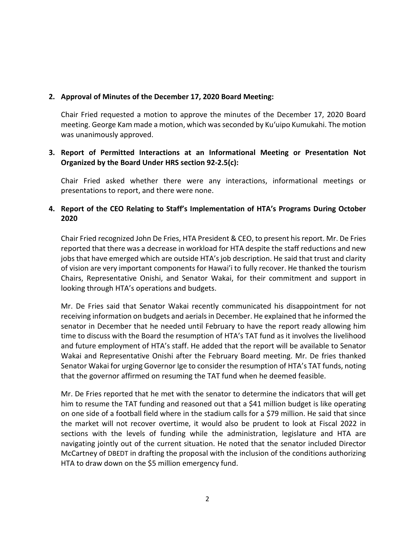#### **2. Approval of Minutes of the December 17, 2020 Board Meeting:**

Chair Fried requested a motion to approve the minutes of the December 17, 2020 Board meeting. George Kam made a motion, which wasseconded by Kuʻuipo Kumukahi. The motion was unanimously approved.

### **3. Report of Permitted Interactions at an Informational Meeting or Presentation Not Organized by the Board Under HRS section 92-2.5(c):**

Chair Fried asked whether there were any interactions, informational meetings or presentations to report, and there were none.

# **4. Report of the CEO Relating to Staff's Implementation of HTA's Programs During October 2020**

Chair Fried recognized John De Fries, HTA President & CEO, to present his report. Mr. De Fries reported that there was a decrease in workload for HTA despite the staff reductions and new jobs that have emerged which are outside HTA's job description. He said that trust and clarity of vision are very important components for Hawai'i to fully recover. He thanked the tourism Chairs, Representative Onishi, and Senator Wakai, for their commitment and support in looking through HTA's operations and budgets.

Mr. De Fries said that Senator Wakai recently communicated his disappointment for not receiving information on budgets and aerials in December. He explained that he informed the senator in December that he needed until February to have the report ready allowing him time to discuss with the Board the resumption of HTA's TAT fund as it involves the livelihood and future employment of HTA's staff. He added that the report will be available to Senator Wakai and Representative Onishi after the February Board meeting. Mr. De fries thanked Senator Wakai for urging Governor Ige to consider the resumption of HTA's TAT funds, noting that the governor affirmed on resuming the TAT fund when he deemed feasible.

Mr. De Fries reported that he met with the senator to determine the indicators that will get him to resume the TAT funding and reasoned out that a \$41 million budget is like operating on one side of a football field where in the stadium calls for a \$79 million. He said that since the market will not recover overtime, it would also be prudent to look at Fiscal 2022 in sections with the levels of funding while the administration, legislature and HTA are navigating jointly out of the current situation. He noted that the senator included Director McCartney of DBEDT in drafting the proposal with the inclusion of the conditions authorizing HTA to draw down on the \$5 million emergency fund.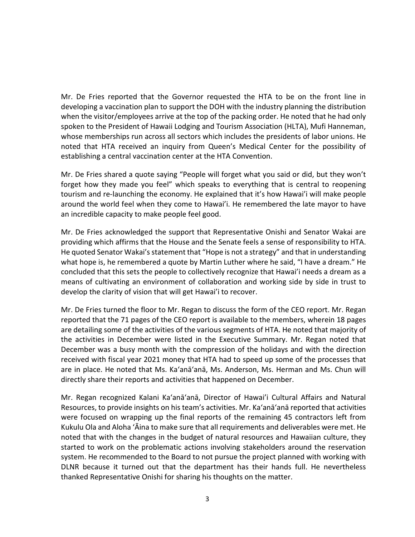Mr. De Fries reported that the Governor requested the HTA to be on the front line in developing a vaccination plan to support the DOH with the industry planning the distribution when the visitor/employees arrive at the top of the packing order. He noted that he had only spoken to the President of Hawaii Lodging and Tourism Association (HLTA), Mufi Hanneman, whose memberships run across all sectors which includes the presidents of labor unions. He noted that HTA received an inquiry from Queen's Medical Center for the possibility of establishing a central vaccination center at the HTA Convention.

Mr. De Fries shared a quote saying "People will forget what you said or did, but they won't forget how they made you feel" which speaks to everything that is central to reopening tourism and re-launching the economy. He explained that it's how Hawai'i will make people around the world feel when they come to Hawai'i. He remembered the late mayor to have an incredible capacity to make people feel good.

Mr. De Fries acknowledged the support that Representative Onishi and Senator Wakai are providing which affirms that the House and the Senate feels a sense of responsibility to HTA. He quoted Senator Wakai's statement that "Hope is not a strategy" and that in understanding what hope is, he remembered a quote by Martin Luther where he said, "I have a dream." He concluded that this sets the people to collectively recognize that Hawai'i needs a dream as a means of cultivating an environment of collaboration and working side by side in trust to develop the clarity of vision that will get Hawai'i to recover.

Mr. De Fries turned the floor to Mr. Regan to discuss the form of the CEO report. Mr. Regan reported that the 71 pages of the CEO report is available to the members, wherein 18 pages are detailing some of the activities of the various segments of HTA. He noted that majority of the activities in December were listed in the Executive Summary. Mr. Regan noted that December was a busy month with the compression of the holidays and with the direction received with fiscal year 2021 money that HTA had to speed up some of the processes that are in place. He noted that Ms. Ka'anā'anā, Ms. Anderson, Ms. Herman and Ms. Chun will directly share their reports and activities that happened on December.

Mr. Regan recognized Kalani Ka'anā'anā, Director of Hawai'i Cultural Affairs and Natural Resources, to provide insights on his team's activities. Mr. Ka'anā'anā reported that activities were focused on wrapping up the final reports of the remaining 45 contractors left from Kukulu Ola and Aloha ʻĀina to make sure that all requirements and deliverables were met. He noted that with the changes in the budget of natural resources and Hawaiian culture, they started to work on the problematic actions involving stakeholders around the reservation system. He recommended to the Board to not pursue the project planned with working with DLNR because it turned out that the department has their hands full. He nevertheless thanked Representative Onishi for sharing his thoughts on the matter.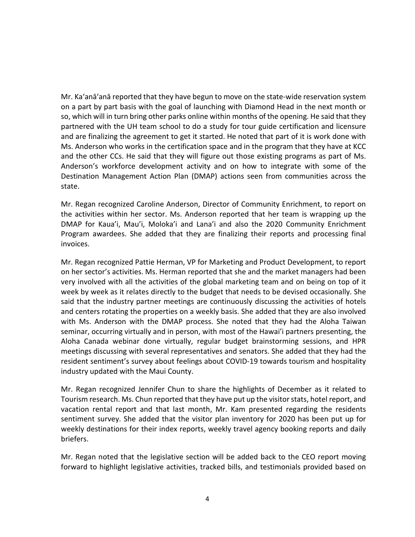Mr. Ka'anā'anā reported that they have begun to move on the state-wide reservation system on a part by part basis with the goal of launching with Diamond Head in the next month or so, which will in turn bring other parks online within months of the opening. He said that they partnered with the UH team school to do a study for tour guide certification and licensure and are finalizing the agreement to get it started. He noted that part of it is work done with Ms. Anderson who works in the certification space and in the program that they have at KCC and the other CCs. He said that they will figure out those existing programs as part of Ms. Anderson's workforce development activity and on how to integrate with some of the Destination Management Action Plan (DMAP) actions seen from communities across the state.

Mr. Regan recognized Caroline Anderson, Director of Community Enrichment, to report on the activities within her sector. Ms. Anderson reported that her team is wrapping up the DMAP for Kaua'i, Mau'i, Moloka'i and Lana'i and also the 2020 Community Enrichment Program awardees. She added that they are finalizing their reports and processing final invoices.

Mr. Regan recognized Pattie Herman, VP for Marketing and Product Development, to report on her sector's activities. Ms. Herman reported that she and the market managers had been very involved with all the activities of the global marketing team and on being on top of it week by week as it relates directly to the budget that needs to be devised occasionally. She said that the industry partner meetings are continuously discussing the activities of hotels and centers rotating the properties on a weekly basis. She added that they are also involved with Ms. Anderson with the DMAP process. She noted that they had the Aloha Taiwan seminar, occurring virtually and in person, with most of the Hawai'i partners presenting, the Aloha Canada webinar done virtually, regular budget brainstorming sessions, and HPR meetings discussing with several representatives and senators. She added that they had the resident sentiment's survey about feelings about COVID-19 towards tourism and hospitality industry updated with the Maui County.

Mr. Regan recognized Jennifer Chun to share the highlights of December as it related to Tourism research. Ms. Chun reported that they have put up the visitor stats, hotel report, and vacation rental report and that last month, Mr. Kam presented regarding the residents sentiment survey. She added that the visitor plan inventory for 2020 has been put up for weekly destinations for their index reports, weekly travel agency booking reports and daily briefers.

Mr. Regan noted that the legislative section will be added back to the CEO report moving forward to highlight legislative activities, tracked bills, and testimonials provided based on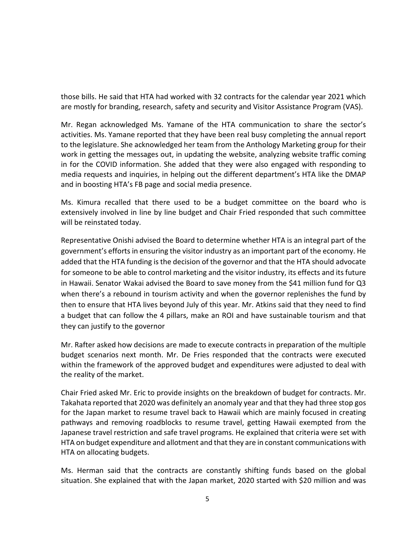those bills. He said that HTA had worked with 32 contracts for the calendar year 2021 which are mostly for branding, research, safety and security and Visitor Assistance Program (VAS).

Mr. Regan acknowledged Ms. Yamane of the HTA communication to share the sector's activities. Ms. Yamane reported that they have been real busy completing the annual report to the legislature. She acknowledged her team from the Anthology Marketing group for their work in getting the messages out, in updating the website, analyzing website traffic coming in for the COVID information. She added that they were also engaged with responding to media requests and inquiries, in helping out the different department's HTA like the DMAP and in boosting HTA's FB page and social media presence.

Ms. Kimura recalled that there used to be a budget committee on the board who is extensively involved in line by line budget and Chair Fried responded that such committee will be reinstated today.

Representative Onishi advised the Board to determine whether HTA is an integral part of the government's efforts in ensuring the visitor industry as an important part of the economy. He added that the HTA funding is the decision of the governor and that the HTA should advocate for someone to be able to control marketing and the visitor industry, its effects and its future in Hawaii. Senator Wakai advised the Board to save money from the \$41 million fund for Q3 when there's a rebound in tourism activity and when the governor replenishes the fund by then to ensure that HTA lives beyond July of this year. Mr. Atkins said that they need to find a budget that can follow the 4 pillars, make an ROI and have sustainable tourism and that they can justify to the governor

Mr. Rafter asked how decisions are made to execute contracts in preparation of the multiple budget scenarios next month. Mr. De Fries responded that the contracts were executed within the framework of the approved budget and expenditures were adjusted to deal with the reality of the market.

Chair Fried asked Mr. Eric to provide insights on the breakdown of budget for contracts. Mr. Takahata reported that 2020 was definitely an anomaly year and that they had three stop gos for the Japan market to resume travel back to Hawaii which are mainly focused in creating pathways and removing roadblocks to resume travel, getting Hawaii exempted from the Japanese travel restriction and safe travel programs. He explained that criteria were set with HTA on budget expenditure and allotment and that they are in constant communications with HTA on allocating budgets.

Ms. Herman said that the contracts are constantly shifting funds based on the global situation. She explained that with the Japan market, 2020 started with \$20 million and was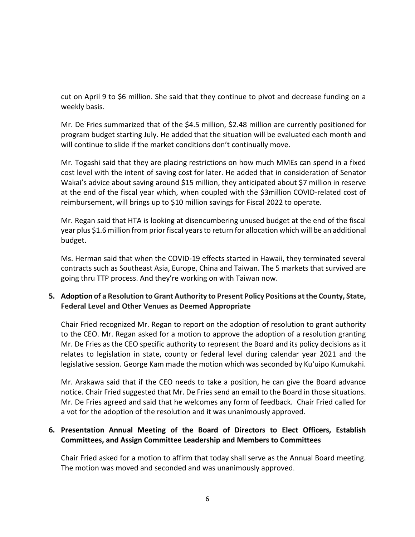cut on April 9 to \$6 million. She said that they continue to pivot and decrease funding on a weekly basis.

Mr. De Fries summarized that of the \$4.5 million, \$2.48 million are currently positioned for program budget starting July. He added that the situation will be evaluated each month and will continue to slide if the market conditions don't continually move.

Mr. Togashi said that they are placing restrictions on how much MMEs can spend in a fixed cost level with the intent of saving cost for later. He added that in consideration of Senator Wakai's advice about saving around \$15 million, they anticipated about \$7 million in reserve at the end of the fiscal year which, when coupled with the \$3million COVID-related cost of reimbursement, will brings up to \$10 million savings for Fiscal 2022 to operate.

Mr. Regan said that HTA is looking at disencumbering unused budget at the end of the fiscal year plus \$1.6 million from prior fiscal years to return for allocation which will be an additional budget.

Ms. Herman said that when the COVID-19 effects started in Hawaii, they terminated several contracts such as Southeast Asia, Europe, China and Taiwan. The 5 markets that survived are going thru TTP process. And they're working on with Taiwan now.

### **5. Adoption of a Resolution to Grant Authority to Present Policy Positions at the County, State, Federal Level and Other Venues as Deemed Appropriate**

Chair Fried recognized Mr. Regan to report on the adoption of resolution to grant authority to the CEO. Mr. Regan asked for a motion to approve the adoption of a resolution granting Mr. De Fries as the CEO specific authority to represent the Board and its policy decisions as it relates to legislation in state, county or federal level during calendar year 2021 and the legislative session. George Kam made the motion which was seconded by Kuʻuipo Kumukahi.

Mr. Arakawa said that if the CEO needs to take a position, he can give the Board advance notice. Chair Fried suggested that Mr. De Fries send an email to the Board in those situations. Mr. De Fries agreed and said that he welcomes any form of feedback. Chair Fried called for a vot for the adoption of the resolution and it was unanimously approved.

### **6. Presentation Annual Meeting of the Board of Directors to Elect Officers, Establish Committees, and Assign Committee Leadership and Members to Committees**

Chair Fried asked for a motion to affirm that today shall serve as the Annual Board meeting. The motion was moved and seconded and was unanimously approved.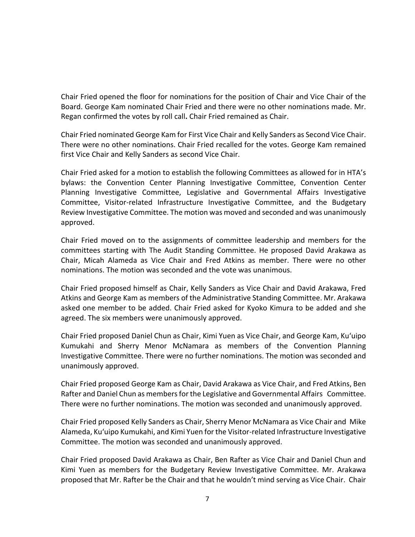Chair Fried opened the floor for nominations for the position of Chair and Vice Chair of the Board. George Kam nominated Chair Fried and there were no other nominations made. Mr. Regan confirmed the votes by roll call**.** Chair Fried remained as Chair.

Chair Fried nominated George Kam for First Vice Chair and Kelly Sanders as Second Vice Chair. There were no other nominations. Chair Fried recalled for the votes. George Kam remained first Vice Chair and Kelly Sanders as second Vice Chair.

Chair Fried asked for a motion to establish the following Committees as allowed for in HTA's bylaws: the Convention Center Planning Investigative Committee, Convention Center Planning Investigative Committee, Legislative and Governmental Affairs Investigative Committee, Visitor-related Infrastructure Investigative Committee, and the Budgetary Review Investigative Committee. The motion was moved and seconded and was unanimously approved.

Chair Fried moved on to the assignments of committee leadership and members for the committees starting with The Audit Standing Committee. He proposed David Arakawa as Chair, Micah Alameda as Vice Chair and Fred Atkins as member. There were no other nominations. The motion was seconded and the vote was unanimous.

Chair Fried proposed himself as Chair, Kelly Sanders as Vice Chair and David Arakawa, Fred Atkins and George Kam as members of the Administrative Standing Committee. Mr. Arakawa asked one member to be added. Chair Fried asked for Kyoko Kimura to be added and she agreed. The six members were unanimously approved.

Chair Fried proposed Daniel Chun as Chair, Kimi Yuen as Vice Chair, and George Kam, Kuʻuipo Kumukahi and Sherry Menor McNamara as members of the Convention Planning Investigative Committee. There were no further nominations. The motion was seconded and unanimously approved.

Chair Fried proposed George Kam as Chair, David Arakawa as Vice Chair, and Fred Atkins, Ben Rafter and Daniel Chun as members for the Legislative and Governmental Affairs Committee. There were no further nominations. The motion was seconded and unanimously approved.

Chair Fried proposed Kelly Sanders as Chair, Sherry Menor McNamara as Vice Chair and Mike Alameda, Kuʻuipo Kumukahi, and Kimi Yuen for the Visitor-related Infrastructure Investigative Committee. The motion was seconded and unanimously approved.

Chair Fried proposed David Arakawa as Chair, Ben Rafter as Vice Chair and Daniel Chun and Kimi Yuen as members for the Budgetary Review Investigative Committee. Mr. Arakawa proposed that Mr. Rafter be the Chair and that he wouldn't mind serving as Vice Chair. Chair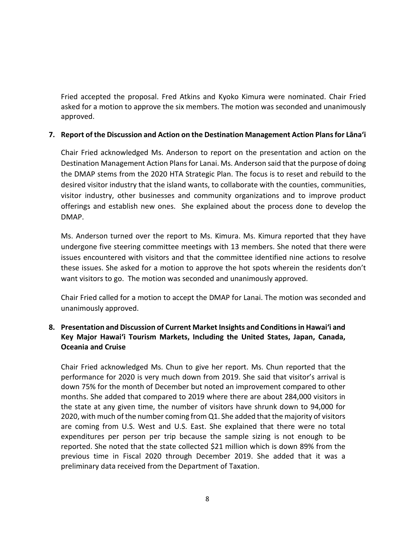Fried accepted the proposal. Fred Atkins and Kyoko Kimura were nominated. Chair Fried asked for a motion to approve the six members. The motion was seconded and unanimously approved.

#### **7. Report of the Discussion and Action on the Destination Management Action Plans for Lāna'i**

Chair Fried acknowledged Ms. Anderson to report on the presentation and action on the Destination Management Action Plans for Lanai. Ms. Anderson said that the purpose of doing the DMAP stems from the 2020 HTA Strategic Plan. The focus is to reset and rebuild to the desired visitor industry that the island wants, to collaborate with the counties, communities, visitor industry, other businesses and community organizations and to improve product offerings and establish new ones. She explained about the process done to develop the DMAP.

Ms. Anderson turned over the report to Ms. Kimura. Ms. Kimura reported that they have undergone five steering committee meetings with 13 members. She noted that there were issues encountered with visitors and that the committee identified nine actions to resolve these issues. She asked for a motion to approve the hot spots wherein the residents don't want visitors to go. The motion was seconded and unanimously approved.

Chair Fried called for a motion to accept the DMAP for Lanai. The motion was seconded and unanimously approved.

# **8. Presentation and Discussion of Current Market Insights and Conditionsin Hawai'i and Key Major Hawai'i Tourism Markets, Including the United States, Japan, Canada, Oceania and Cruise**

Chair Fried acknowledged Ms. Chun to give her report. Ms. Chun reported that the performance for 2020 is very much down from 2019. She said that visitor's arrival is down 75% for the month of December but noted an improvement compared to other months. She added that compared to 2019 where there are about 284,000 visitors in the state at any given time, the number of visitors have shrunk down to 94,000 for 2020, with much of the number coming from Q1. She added that the majority of visitors are coming from U.S. West and U.S. East. She explained that there were no total expenditures per person per trip because the sample sizing is not enough to be reported. She noted that the state collected \$21 million which is down 89% from the previous time in Fiscal 2020 through December 2019. She added that it was a preliminary data received from the Department of Taxation.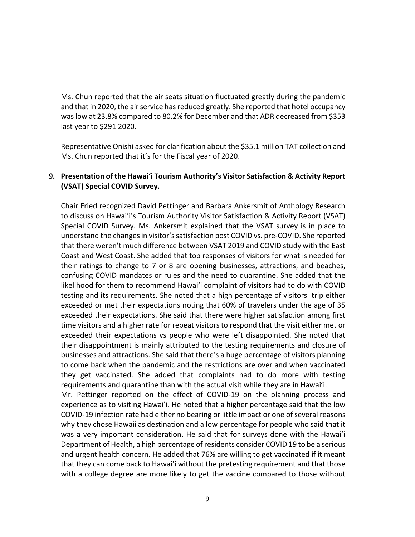Ms. Chun reported that the air seats situation fluctuated greatly during the pandemic and that in 2020, the air service has reduced greatly. She reported that hotel occupancy was low at 23.8% compared to 80.2% for December and that ADR decreased from \$353 last year to \$291 2020.

Representative Onishi asked for clarification about the \$35.1 million TAT collection and Ms. Chun reported that it's for the Fiscal year of 2020.

#### **9. Presentation of the Hawaiʻi Tourism Authority's Visitor Satisfaction & Activity Report (VSAT) Special COVID Survey.**

Chair Fried recognized David Pettinger and Barbara Ankersmit of Anthology Research to discuss on Hawai'i's Tourism Authority Visitor Satisfaction & Activity Report (VSAT) Special COVID Survey. Ms. Ankersmit explained that the VSAT survey is in place to understand the changes in visitor's satisfaction post COVID vs. pre-COVID. She reported that there weren't much difference between VSAT 2019 and COVID study with the East Coast and West Coast. She added that top responses of visitors for what is needed for their ratings to change to 7 or 8 are opening businesses, attractions, and beaches, confusing COVID mandates or rules and the need to quarantine. She added that the likelihood for them to recommend Hawai'i complaint of visitors had to do with COVID testing and its requirements. She noted that a high percentage of visitors trip either exceeded or met their expectations noting that 60% of travelers under the age of 35 exceeded their expectations. She said that there were higher satisfaction among first time visitors and a higher rate for repeat visitors to respond that the visit either met or exceeded their expectations vs people who were left disappointed. She noted that their disappointment is mainly attributed to the testing requirements and closure of businesses and attractions. She said that there's a huge percentage of visitors planning to come back when the pandemic and the restrictions are over and when vaccinated they get vaccinated. She added that complaints had to do more with testing requirements and quarantine than with the actual visit while they are in Hawai'i.

Mr. Pettinger reported on the effect of COVID-19 on the planning process and experience as to visiting Hawai'i. He noted that a higher percentage said that the low COVID-19 infection rate had either no bearing or little impact or one of several reasons why they chose Hawaii as destination and a low percentage for people who said that it was a very important consideration. He said that for surveys done with the Hawai'i Department of Health, a high percentage of residents consider COVID 19 to be a serious and urgent health concern. He added that 76% are willing to get vaccinated if it meant that they can come back to Hawai'i without the pretesting requirement and that those with a college degree are more likely to get the vaccine compared to those without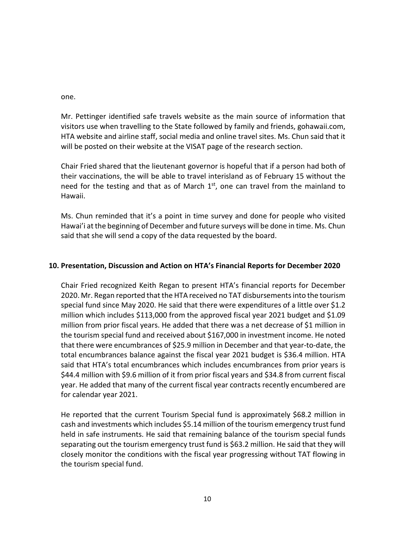one.

Mr. Pettinger identified safe travels website as the main source of information that visitors use when travelling to the State followed by family and friends, gohawaii.com, HTA website and airline staff, social media and online travel sites. Ms. Chun said that it will be posted on their website at the VISAT page of the research section.

Chair Fried shared that the lieutenant governor is hopeful that if a person had both of their vaccinations, the will be able to travel interisland as of February 15 without the need for the testing and that as of March  $1<sup>st</sup>$ , one can travel from the mainland to Hawaii.

Ms. Chun reminded that it's a point in time survey and done for people who visited Hawai'i at the beginning of December and future surveys will be done in time. Ms. Chun said that she will send a copy of the data requested by the board.

# **10. Presentation, Discussion and Action on HTA's Financial Reports for December 2020**

Chair Fried recognized Keith Regan to present HTA's financial reports for December 2020. Mr. Regan reported that the HTA received no TAT disbursements into the tourism special fund since May 2020. He said that there were expenditures of a little over \$1.2 million which includes \$113,000 from the approved fiscal year 2021 budget and \$1.09 million from prior fiscal years. He added that there was a net decrease of \$1 million in the tourism special fund and received about \$167,000 in investment income. He noted that there were encumbrances of \$25.9 million in December and that year-to-date, the total encumbrances balance against the fiscal year 2021 budget is \$36.4 million. HTA said that HTA's total encumbrances which includes encumbrances from prior years is \$44.4 million with \$9.6 million of it from prior fiscal years and \$34.8 from current fiscal year. He added that many of the current fiscal year contracts recently encumbered are for calendar year 2021.

He reported that the current Tourism Special fund is approximately \$68.2 million in cash and investments which includes \$5.14 million of the tourism emergency trust fund held in safe instruments. He said that remaining balance of the tourism special funds separating out the tourism emergency trust fund is \$63.2 million. He said that they will closely monitor the conditions with the fiscal year progressing without TAT flowing in the tourism special fund.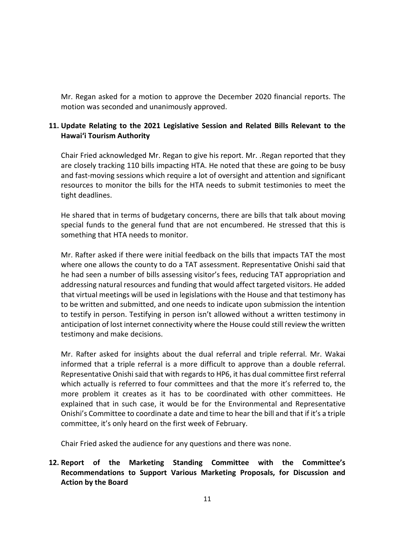Mr. Regan asked for a motion to approve the December 2020 financial reports. The motion was seconded and unanimously approved.

# **11. Update Relating to the 2021 Legislative Session and Related Bills Relevant to the Hawaiʻi Tourism Authority**

Chair Fried acknowledged Mr. Regan to give his report. Mr. .Regan reported that they are closely tracking 110 bills impacting HTA. He noted that these are going to be busy and fast-moving sessions which require a lot of oversight and attention and significant resources to monitor the bills for the HTA needs to submit testimonies to meet the tight deadlines.

He shared that in terms of budgetary concerns, there are bills that talk about moving special funds to the general fund that are not encumbered. He stressed that this is something that HTA needs to monitor.

Mr. Rafter asked if there were initial feedback on the bills that impacts TAT the most where one allows the county to do a TAT assessment. Representative Onishi said that he had seen a number of bills assessing visitor's fees, reducing TAT appropriation and addressing natural resources and funding that would affect targeted visitors. He added that virtual meetings will be used in legislations with the House and that testimony has to be written and submitted, and one needs to indicate upon submission the intention to testify in person. Testifying in person isn't allowed without a written testimony in anticipation of lost internet connectivity where the House could still review the written testimony and make decisions.

Mr. Rafter asked for insights about the dual referral and triple referral. Mr. Wakai informed that a triple referral is a more difficult to approve than a double referral. Representative Onishi said that with regards to HP6, it has dual committee first referral which actually is referred to four committees and that the more it's referred to, the more problem it creates as it has to be coordinated with other committees. He explained that in such case, it would be for the Environmental and Representative Onishi's Committee to coordinate a date and time to hear the bill and that if it's a triple committee, it's only heard on the first week of February.

Chair Fried asked the audience for any questions and there was none.

# **12. Report of the Marketing Standing Committee with the Committee's Recommendations to Support Various Marketing Proposals, for Discussion and Action by the Board**